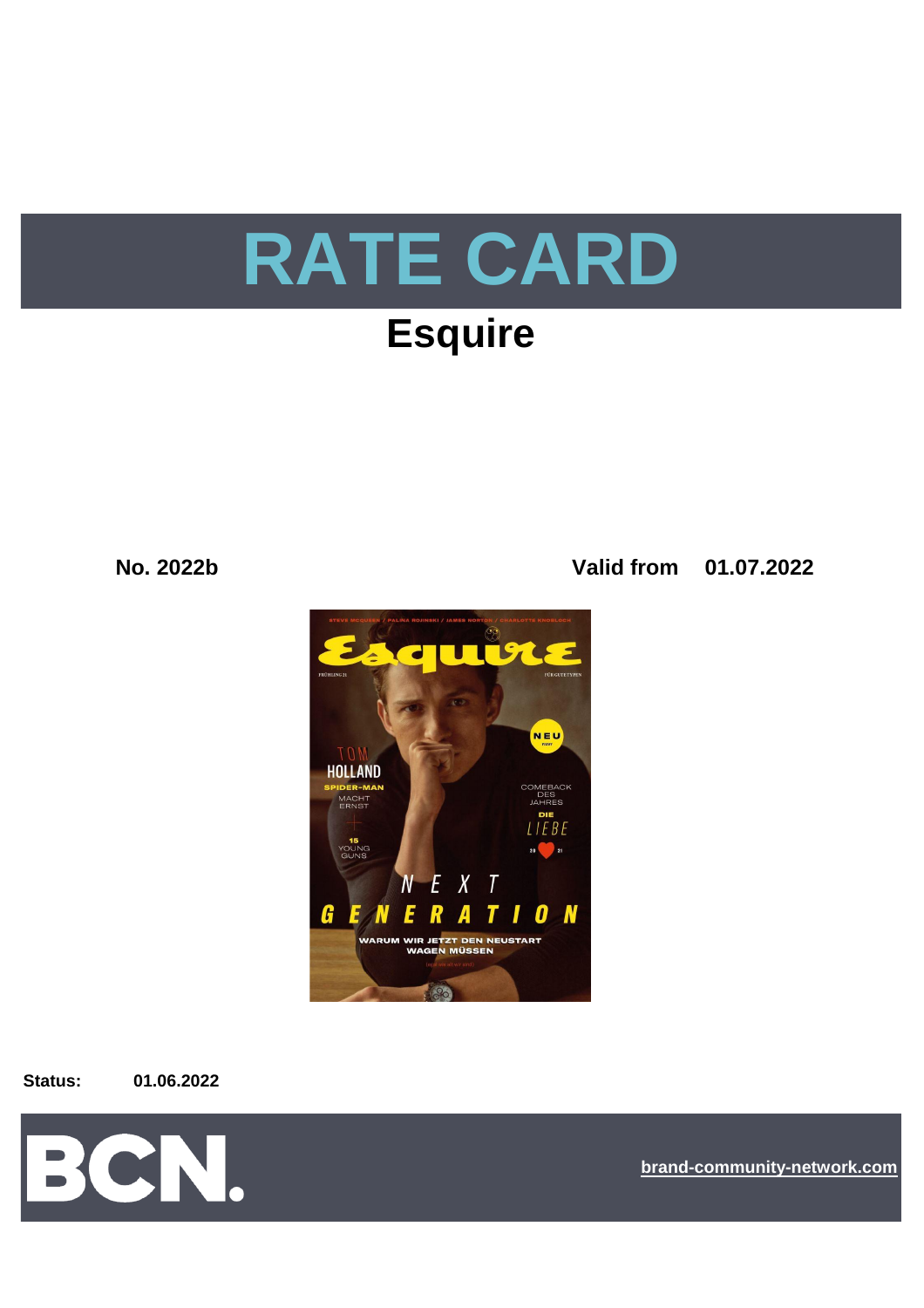

# **Esquire**

**No. 2022b Valid from 01.07.2022**



**Status: 01.06.2022**



**[b](https://bcn.burda.com/)rand-community-network.com**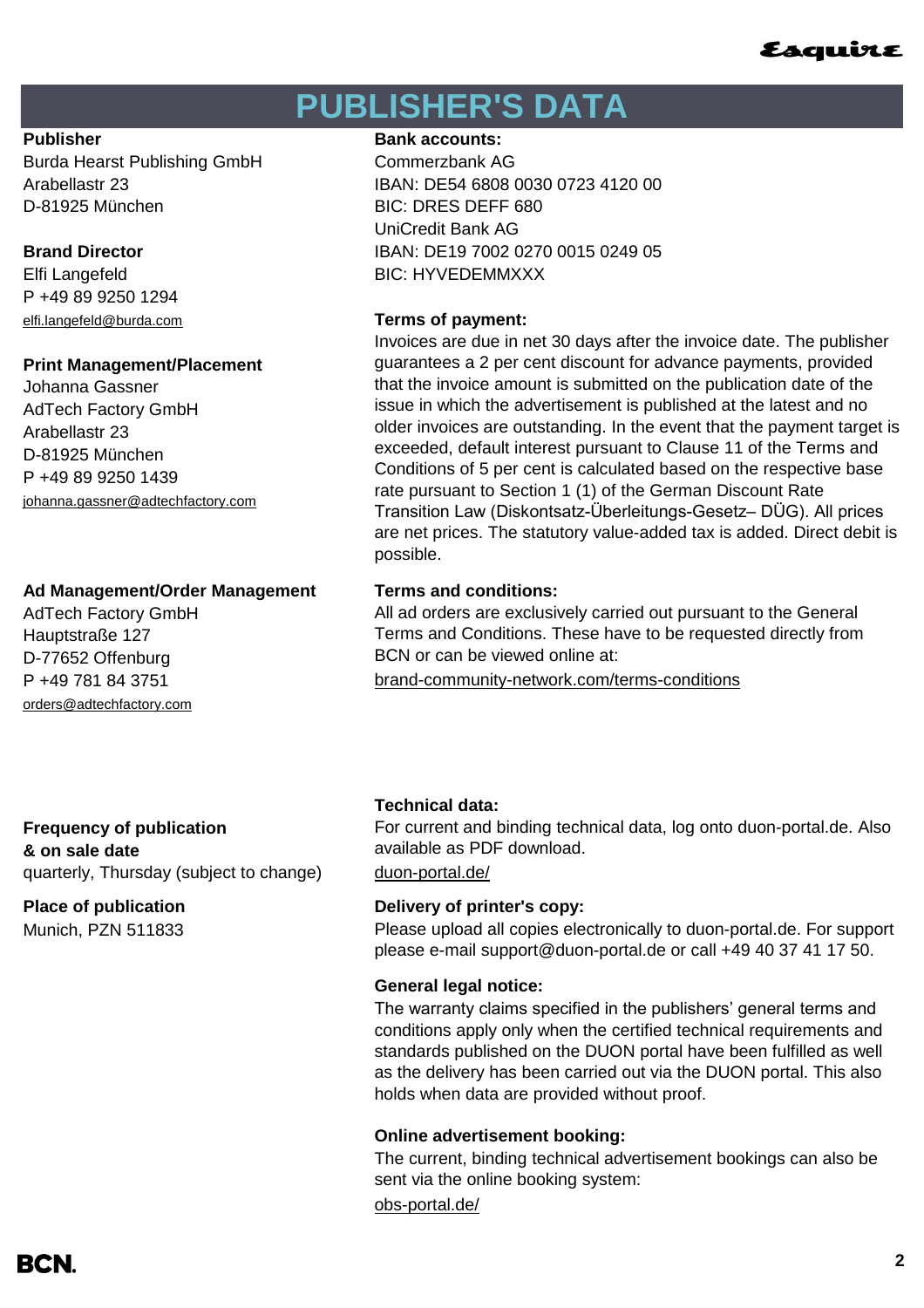## **PUBLISHER'S DATA**

Burda Hearst Publishing GmbH Commerzbank AG D-81925 München BIC: DRES DEFF 680

P +49 89 9250 1294 [elfi.langefeld@burda.com](mailto:elfi.langefeld@burda.com) **Terms of payment:**

### **Print Management/Placement**

Johanna Gassner AdTech Factory GmbH Arabellastr 23 D-81925 München P +49 89 9250 1439 [johanna.gassner@adtechfactory.com](mailto:johanna.gassner@adtechfactory.com)

### **Ad Management/Order Management Terms and conditions:**

AdTech Factory GmbH Hauptstraße 127 D-77652 Offenburg [orders@adtechfactory.com](mailto:orders@adtechfactory.com)

### **Publisher Bank accounts: Bank accounts:**

Arabellastr 23 IBAN: DE54 6808 0030 0723 4120 00 UniCredit Bank AG **Brand Director IBAN: DE19 7002 0270 0015 0249 05** Elfi Langefeld BIC: HYVEDEMMXXX

Invoices are due in net 30 days after the invoice date. The publisher guarantees a 2 per cent discount for advance payments, provided that the invoice amount is submitted on the publication date of the issue in which the advertisement is published at the latest and no older invoices are outstanding. In the event that the payment target is exceeded, default interest pursuant to Clause 11 of the Terms and Conditions of 5 per cent is calculated based on the respective base rate pursuant to Section 1 (1) of the German Discount Rate Transition Law (Diskontsatz-Überleitungs-Gesetz– DÜG). All prices are net prices. The statutory value-added tax is added. Direct debit is possible.

P +49 781 84 3751 [brand-community-network.com/terms-conditions](https://bcn.burda.com/terms-conditions) All ad orders are exclusively carried out pursuant to the General Terms and Conditions. These have to be requested directly from BCN or can be viewed online at:

**Frequency of publication & on sale date** quarterly, Thursday (subject to change) [duon-portal.de/](https://duon-portal.de/)

**Place of publication Delivery of printer's copy:** Munich, PZN 511833

### **Technical data:**

For current and binding technical data, log onto duon-portal.de. Also available as PDF download.

Please upload all copies electronically to duon-portal.de. For support please e-mail support@duon-portal.de or call +49 40 37 41 17 50.

### **General legal notice:**

The warranty claims specified in the publishers' general terms and conditions apply only when the certified technical requirements and standards published on the DUON portal have been fulfilled as well as the delivery has been carried out via the DUON portal. This also holds when data are provided without proof.

### **Online advertisement booking:**

The current, binding technical advertisement bookings can also be sent via the online booking system:

[obs-portal.de/](https://www.obs-portal.de/)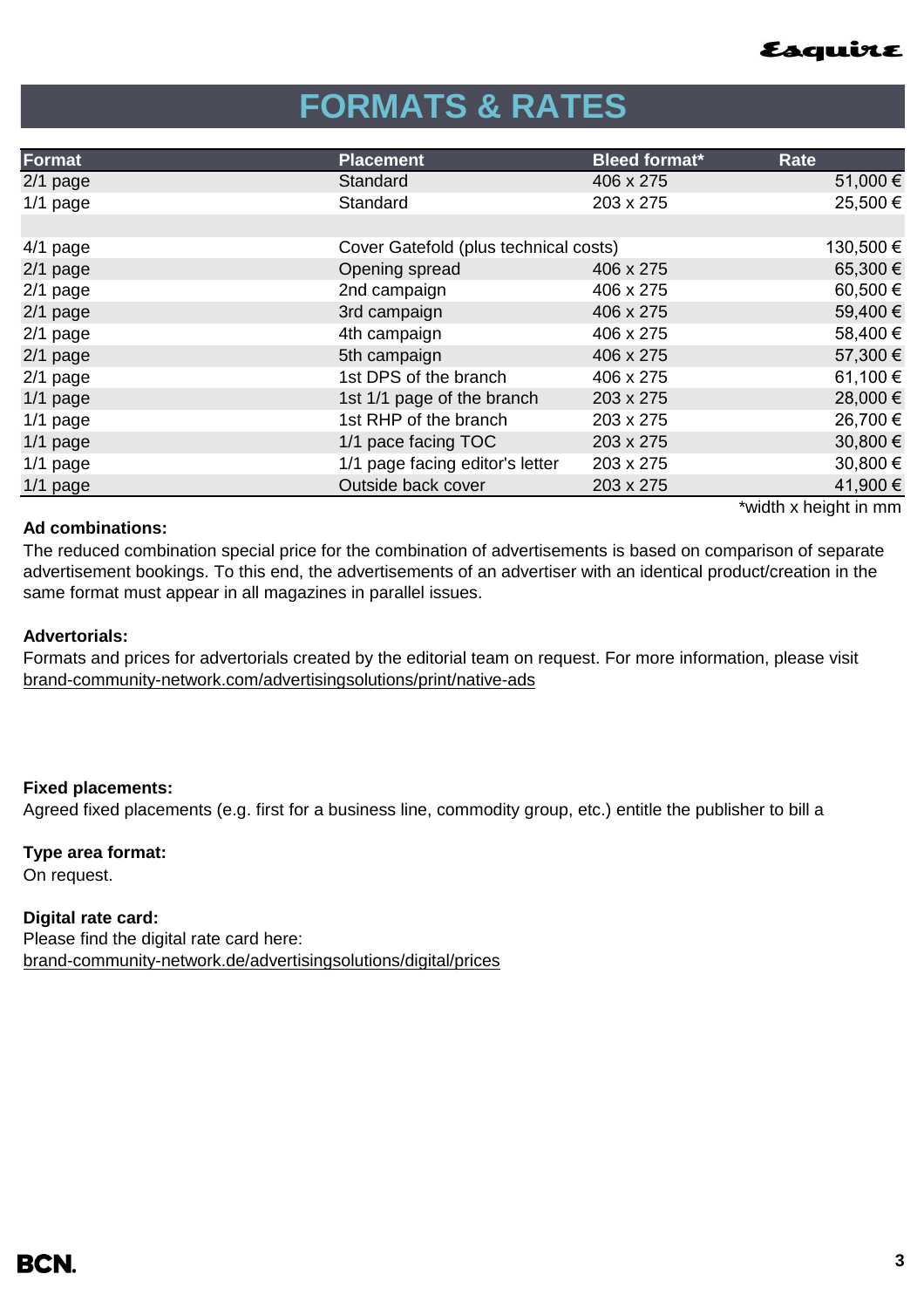

## **FORMATS & RATES**

| Format     | <b>Placement</b>                      | <b>Bleed format*</b> | <b>Rate</b> |
|------------|---------------------------------------|----------------------|-------------|
| $2/1$ page | Standard                              | 406 x 275            | 51,000€     |
| $1/1$ page | Standard                              | 203 x 275            | 25,500€     |
|            |                                       |                      |             |
| $4/1$ page | Cover Gatefold (plus technical costs) |                      | 130,500 €   |
| $2/1$ page | Opening spread                        | 406 x 275            | 65,300€     |
| $2/1$ page | 2nd campaign                          | 406 x 275            | 60,500€     |
| $2/1$ page | 3rd campaign                          | 406 x 275            | 59,400€     |
| $2/1$ page | 4th campaign                          | 406 x 275            | 58,400 €    |
| $2/1$ page | 5th campaign                          | 406 x 275            | 57,300 €    |
| $2/1$ page | 1st DPS of the branch                 | 406 x 275            | 61,100€     |
| $1/1$ page | 1st 1/1 page of the branch            | 203 x 275            | 28,000 €    |
| $1/1$ page | 1st RHP of the branch                 | 203 x 275            | 26,700 €    |
| $1/1$ page | 1/1 pace facing TOC                   | 203 x 275            | 30,800€     |
| $1/1$ page | 1/1 page facing editor's letter       | 203 x 275            | 30,800€     |
| 1/1 page   | Outside back cover                    | 203 x 275            | 41,900 €    |
|            |                                       |                      |             |

### **Ad combinations:**

\*width x height in mm

The reduced combination special price for the combination of advertisements is based on comparison of separate advertisement bookings. To this end, the advertisements of an advertiser with an identical product/creation in the same format must appear in all magazines in parallel issues.

### **Advertorials:**

[brand-community-network.com/advertisin](https://bcn.burda.com/advertisingsolutions/print/native-ads)gsolutions/print/native-ads Formats and prices for advertorials created by the editorial team on request. For more information, please visit

### **Fixed placements:**

Agreed fixed placements (e.g. first for a business line, commodity group, etc.) entitle the publisher to bill a

#### **Type area format:**

On request.

#### **Digital rate card:**

Please find the digital rate card here: [brand-community-network.de/advertisingsolutions/digital/prices](https://bcn.burda.com/advertisingsolutions/digital/prices)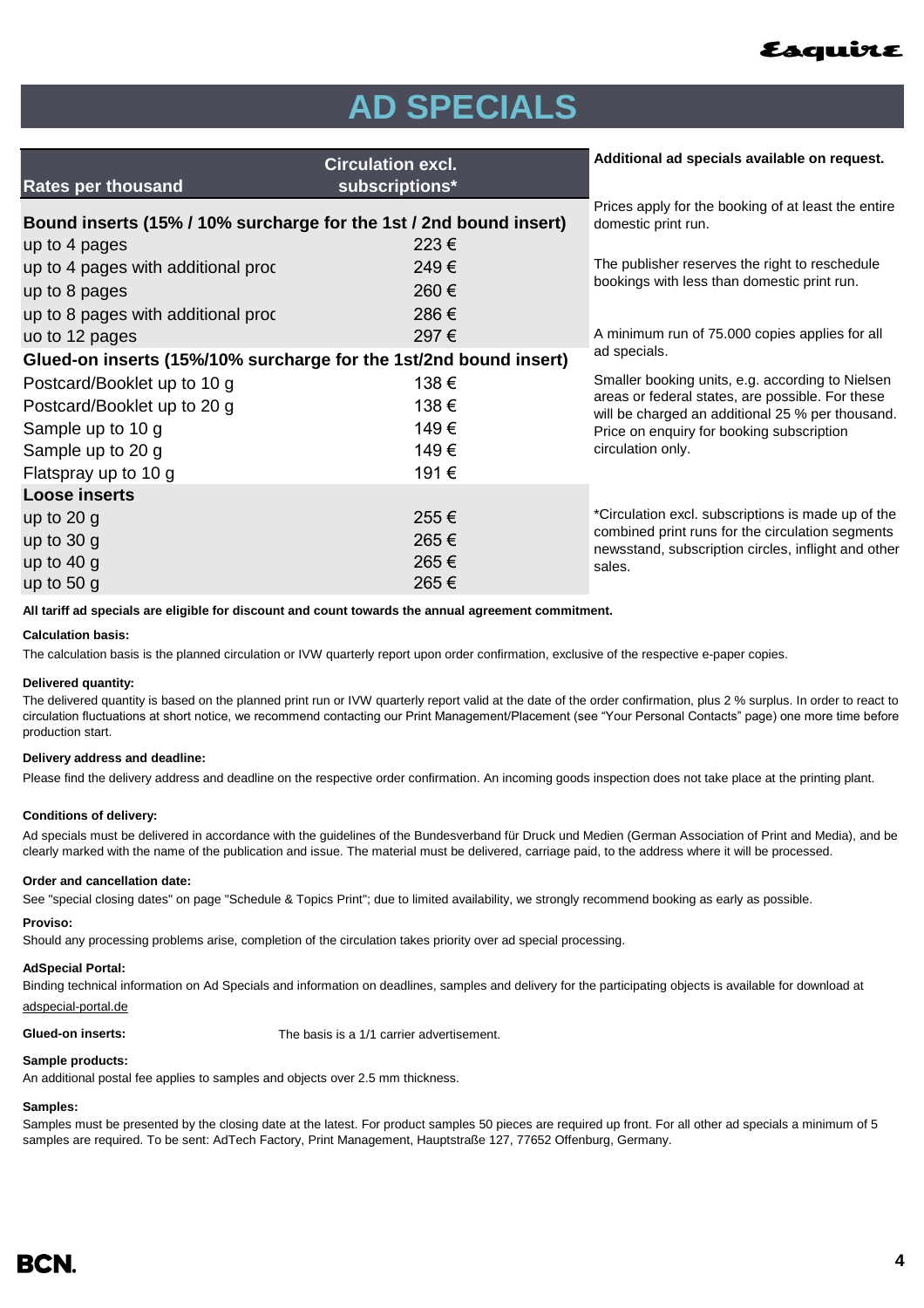

## **AD SPECIALS**

| <b>Rates per thousand</b>                                          | <b>Circulation excl.</b><br>subscriptions*                                 | Additional ad specials available on request.                                                                                                                            |  |
|--------------------------------------------------------------------|----------------------------------------------------------------------------|-------------------------------------------------------------------------------------------------------------------------------------------------------------------------|--|
| Bound inserts (15% / 10% surcharge for the 1st / 2nd bound insert) | Prices apply for the booking of at least the entire<br>domestic print run. |                                                                                                                                                                         |  |
| up to 4 pages                                                      | $223 \in$                                                                  |                                                                                                                                                                         |  |
| up to 4 pages with additional proc                                 | 249€                                                                       | The publisher reserves the right to reschedule<br>bookings with less than domestic print run.                                                                           |  |
| up to 8 pages                                                      | 260€                                                                       |                                                                                                                                                                         |  |
| up to 8 pages with additional proc                                 | 286€                                                                       |                                                                                                                                                                         |  |
| uo to 12 pages                                                     | 297€                                                                       | A minimum run of 75.000 copies applies for all                                                                                                                          |  |
| Glued-on inserts (15%/10% surcharge for the 1st/2nd bound insert)  | ad specials.                                                               |                                                                                                                                                                         |  |
| Postcard/Booklet up to 10 g                                        | 138€                                                                       | Smaller booking units, e.g. according to Nielsen                                                                                                                        |  |
| Postcard/Booklet up to 20 g                                        | 138€                                                                       | areas or federal states, are possible. For these<br>will be charged an additional 25 % per thousand.<br>Price on enquiry for booking subscription<br>circulation only.  |  |
| Sample up to 10 g                                                  | 149€                                                                       |                                                                                                                                                                         |  |
| Sample up to 20 g                                                  | 149€                                                                       |                                                                                                                                                                         |  |
| Flatspray up to 10 g                                               | 191€                                                                       |                                                                                                                                                                         |  |
| <b>Loose inserts</b>                                               |                                                                            |                                                                                                                                                                         |  |
| up to $20$ g<br>up to $30 g$<br>up to $40 g$<br>up to $50 g$       | 255€<br>265€<br>265€<br>265€                                               | *Circulation excl. subscriptions is made up of the<br>combined print runs for the circulation segments<br>newsstand, subscription circles, inflight and other<br>sales. |  |
|                                                                    |                                                                            |                                                                                                                                                                         |  |

**All tariff ad specials are eligible for discount and count towards the annual agreement commitment.**

#### **Calculation basis:**

The calculation basis is the planned circulation or IVW quarterly report upon order confirmation, exclusive of the respective e-paper copies.

#### **Delivered quantity:**

The delivered quantity is based on the planned print run or IVW quarterly report valid at the date of the order confirmation, plus 2 % surplus. In order to react to circulation fluctuations at short notice, we recommend contacting our Print Management/Placement (see "Your Personal Contacts" page) one more time before production start.

#### **Delivery address and deadline:**

Please find the delivery address and deadline on the respective order confirmation. An incoming goods inspection does not take place at the printing plant.

#### **Conditions of delivery:**

Ad specials must be delivered in accordance with the guidelines of the Bundesverband für Druck und Medien (German Association of Print and Media), and be clearly marked with the name of the publication and issue. The material must be delivered, carriage paid, to the address where it will be processed.

#### **Order and cancellation date:**

See "special closing dates" on page "Schedule & Topics Print"; due to limited availability, we strongly recommend booking as early as possible.

#### **Proviso:**

Should any processing problems arise, completion of the circulation takes priority over ad special processing.

#### **AdSpecial Portal:**

Binding technical information on Ad Specials and information on deadlines, samples and delivery for the participating objects is available for download at adspecial-portal.de

**Glued-on inserts:** The basis is a 1/1 carrier advertisement.

#### **Sample products:**

An additional postal fee applies to samples and objects over 2.5 mm thickness.

#### **Samples:**

Samples must be presented by the closing date at the latest. For product samples 50 pieces are required up front. For all other ad specials a minimum of 5 samples are required. To be sent: AdTech Factory, Print Management, Hauptstraße 127, 77652 Offenburg, Germany.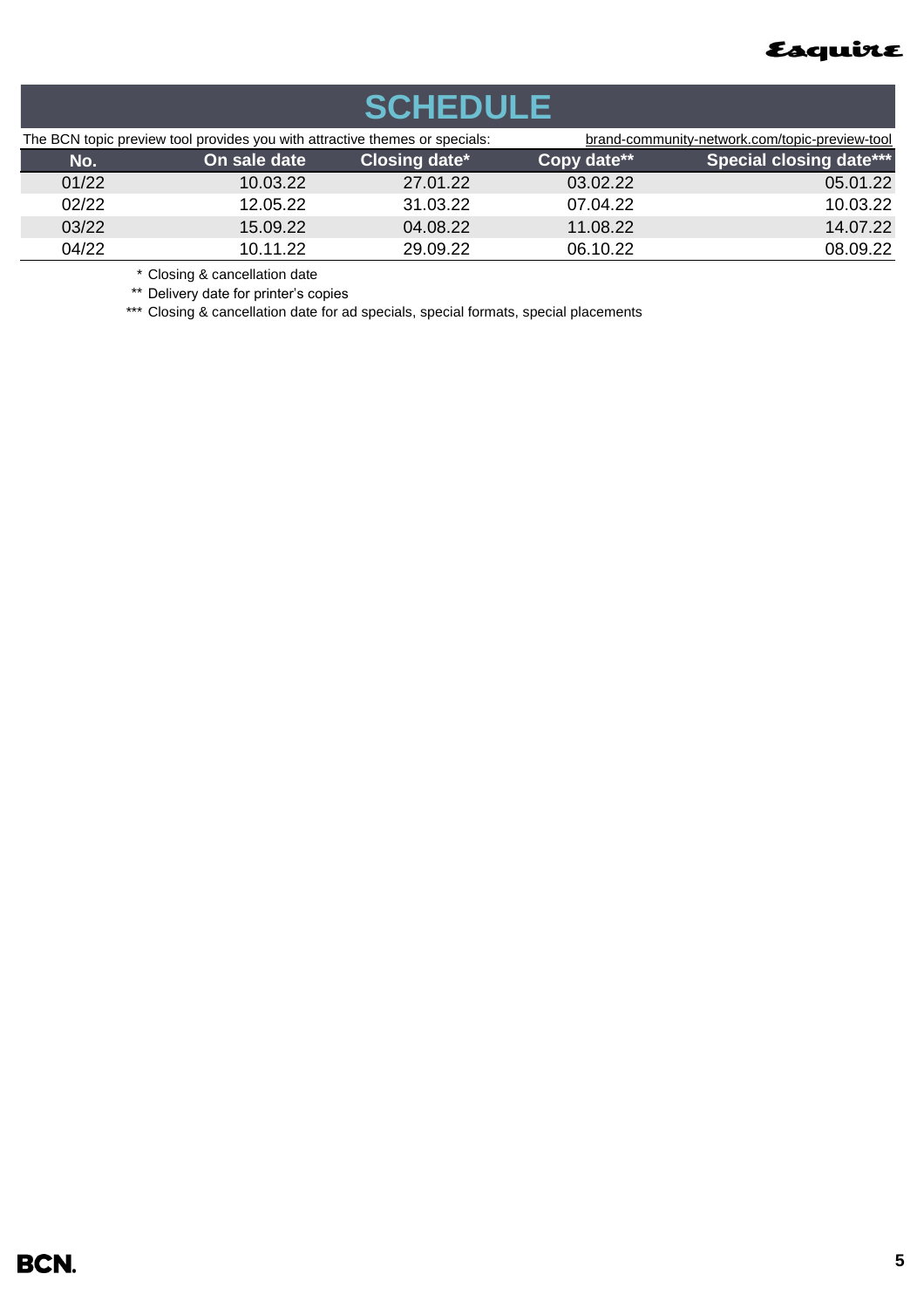

| <b>SCHEDULE</b> |                                                                                                                                                                                                                                                                                                                                                                                                     |                      |             |                                                |  |  |
|-----------------|-----------------------------------------------------------------------------------------------------------------------------------------------------------------------------------------------------------------------------------------------------------------------------------------------------------------------------------------------------------------------------------------------------|----------------------|-------------|------------------------------------------------|--|--|
|                 | The BCN topic preview tool provides you with attractive themes or specials:                                                                                                                                                                                                                                                                                                                         |                      |             | brand-community-network.com/topic-preview-tool |  |  |
| No.             | On sale date                                                                                                                                                                                                                                                                                                                                                                                        | <b>Closing date*</b> | Copy date** | <b>Special closing date***</b>                 |  |  |
| 01/22           | 10.03.22                                                                                                                                                                                                                                                                                                                                                                                            | 27.01.22             | 03.02.22    | 05.01.22                                       |  |  |
| 02/22           | 12.05.22                                                                                                                                                                                                                                                                                                                                                                                            | 31.03.22             | 07.04.22    | 10.03.22                                       |  |  |
| 03/22           | 15.09.22                                                                                                                                                                                                                                                                                                                                                                                            | 04.08.22             | 11.08.22    | 14.07.22                                       |  |  |
| 04/22           | 10.11.22                                                                                                                                                                                                                                                                                                                                                                                            | 29.09.22             | 06.10.22    | 08.09.22                                       |  |  |
|                 | $\ddot{\phantom{1}}$ $\ddot{\phantom{1}}$ $\ddot{\phantom{1}}$ $\ddot{\phantom{1}}$ $\ddot{\phantom{1}}$ $\ddot{\phantom{1}}$ $\ddot{\phantom{1}}$ $\ddot{\phantom{1}}$ $\ddot{\phantom{1}}$ $\ddot{\phantom{1}}$ $\ddot{\phantom{1}}$ $\ddot{\phantom{1}}$ $\ddot{\phantom{1}}$ $\ddot{\phantom{1}}$ $\ddot{\phantom{1}}$ $\ddot{\phantom{1}}$ $\ddot{\phantom{1}}$ $\ddot{\phantom{1}}$ $\ddot{\$ |                      |             |                                                |  |  |

\* Closing & cancellation date

\*\* Delivery date for printer's copies

\*\*\* Closing & cancellation date for ad specials, special formats, special placements